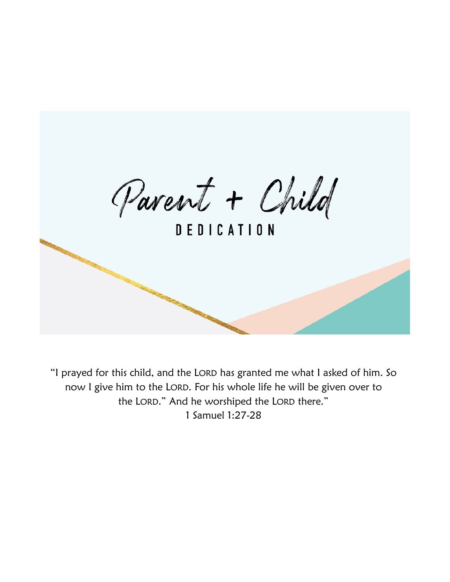Parent + Child

**DEDICATION** 

"I prayed for this child, and the LORD has granted me what I asked of him. So now I give him to the LORD. For his whole life he will be given over to the LORD." And he worshiped the LORD there." 1 Samuel 1:27-28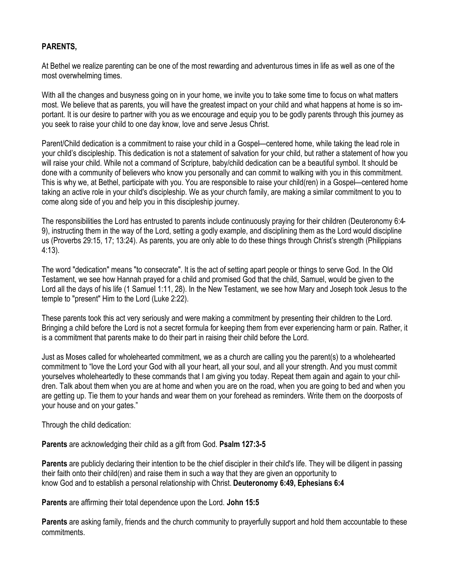#### **PARENTS,**

At Bethel we realize parenting can be one of the most rewarding and adventurous times in life as well as one of the most overwhelming times.

With all the changes and busyness going on in your home, we invite you to take some time to focus on what matters most. We believe that as parents, you will have the greatest impact on your child and what happens at home is so important. It is our desire to partner with you as we encourage and equip you to be godly parents through this journey as you seek to raise your child to one day know, love and serve Jesus Christ.

Parent/Child dedication is a commitment to raise your child in a Gospel—centered home, while taking the lead role in your child's discipleship. This dedication is not a statement of salvation for your child, but rather a statement of how you will raise your child. While not a command of Scripture, baby/child dedication can be a beautiful symbol. It should be done with a community of believers who know you personally and can commit to walking with you in this commitment. This is why we, at Bethel, participate with you. You are responsible to raise your child(ren) in a Gospel—centered home taking an active role in your child's discipleship. We as your church family, are making a similar commitment to you to come along side of you and help you in this discipleship journey.

The responsibilities the Lord has entrusted to parents include continuously praying for their children (Deuteronomy 6:4- 9), instructing them in the way of the Lord, setting a godly example, and disciplining them as the Lord would discipline us (Proverbs 29:15, 17; 13:24). As parents, you are only able to do these things through Christ's strength (Philippians 4:13).

The word "dedication" means "to consecrate". It is the act of setting apart people or things to serve God. In the Old Testament, we see how Hannah prayed for a child and promised God that the child, Samuel, would be given to the Lord all the days of his life (1 Samuel 1:11, 28). In the New Testament, we see how Mary and Joseph took Jesus to the temple to "present" Him to the Lord (Luke 2:22).

These parents took this act very seriously and were making a commitment by presenting their children to the Lord. Bringing a child before the Lord is not a secret formula for keeping them from ever experiencing harm or pain. Rather, it is a commitment that parents make to do their part in raising their child before the Lord.

Just as Moses called for wholehearted commitment, we as a church are calling you the parent(s) to a wholehearted commitment to "love the Lord your God with all your heart, all your soul, and all your strength. And you must commit yourselves wholeheartedly to these commands that I am giving you today. Repeat them again and again to your children. Talk about them when you are at home and when you are on the road, when you are going to bed and when you are getting up. Tie them to your hands and wear them on your forehead as reminders. Write them on the doorposts of your house and on your gates."

Through the child dedication:

**Parents** are acknowledging their child as a gift from God. **Psalm 127:3-5** 

**Parents** are publicly declaring their intention to be the chief discipler in their child's life. They will be diligent in passing their faith onto their child(ren) and raise them in such a way that they are given an opportunity to know God and to establish a personal relationship with Christ. **Deuteronomy 6:49, Ephesians 6:4**

**Parents** are affirming their total dependence upon the Lord. **John 15:5**

**Parents** are asking family, friends and the church community to prayerfully support and hold them accountable to these commitments.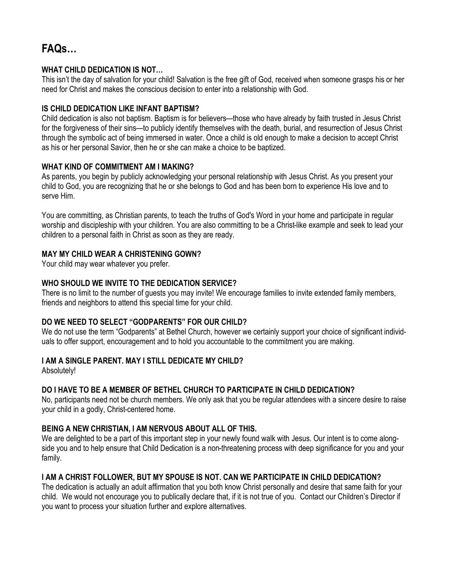# **FAQs…**

#### **WHAT CHILD DEDICATION IS NOT…**

This isn't the day of salvation for your child! Salvation is the free gift of God, received when someone grasps his or her need for Christ and makes the conscious decision to enter into a relationship with God.

#### **IS CHILD DEDICATION LIKE INFANT BAPTISM?**

Child dedication is also not baptism. Baptism is for believers—those who have already by faith trusted in Jesus Christ for the forgiveness of their sins—to publicly identify themselves with the death, burial, and resurrection of Jesus Christ through the symbolic act of being immersed in water. Once a child is old enough to make a decision to accept Christ as his or her personal Savior, then he or she can make a choice to be baptized.

# **WHAT KIND OF COMMITMENT AM I MAKING?**

As parents, you begin by publicly acknowledging your personal relationship with Jesus Christ. As you present your child to God, you are recognizing that he or she belongs to God and has been born to experience His love and to serve Him.

You are committing, as Christian parents, to teach the truths of God's Word in your home and participate in regular worship and discipleship with your children. You are also committing to be a Christ-like example and seek to lead your children to a personal faith in Christ as soon as they are ready.

# **MAY MY CHILD WEAR A CHRISTENING GOWN?**

Your child may wear whatever you prefer.

#### **WHO SHOULD WE INVITE TO THE DEDICATION SERVICE?**

There is no limit to the number of guests you may invite! We encourage families to invite extended family members, friends and neighbors to attend this special time for your child.

# **DO WE NEED TO SELECT "GODPARENTS" FOR OUR CHILD?**

We do not use the term "Godparents" at Bethel Church, however we certainly support your choice of significant individuals to offer support, encouragement and to hold you accountable to the commitment you are making.

# **I AM A SINGLE PARENT. MAY I STILL DEDICATE MY CHILD?**

Absolutely!

# **DO I HAVE TO BE A MEMBER OF BETHEL CHURCH TO PARTICIPATE IN CHILD DEDICATION?**

No, participants need not be church members. We only ask that you be regular attendees with a sincere desire to raise your child in a godly, Christ-centered home.

# **BEING A NEW CHRISTIAN, I AM NERVOUS ABOUT ALL OF THIS.**

We are delighted to be a part of this important step in your newly found walk with Jesus. Our intent is to come alongside you and to help ensure that Child Dedication is a non-threatening process with deep significance for you and your family.

# **I AM A CHRIST FOLLOWER, BUT MY SPOUSE IS NOT. CAN WE PARTICIPATE IN CHILD DEDICATION?**

The dedication is actually an adult affirmation that you both know Christ personally and desire that same faith for your child. We would not encourage you to publically declare that, if it is not true of you. Contact our Children's Director if you want to process your situation further and explore alternatives.